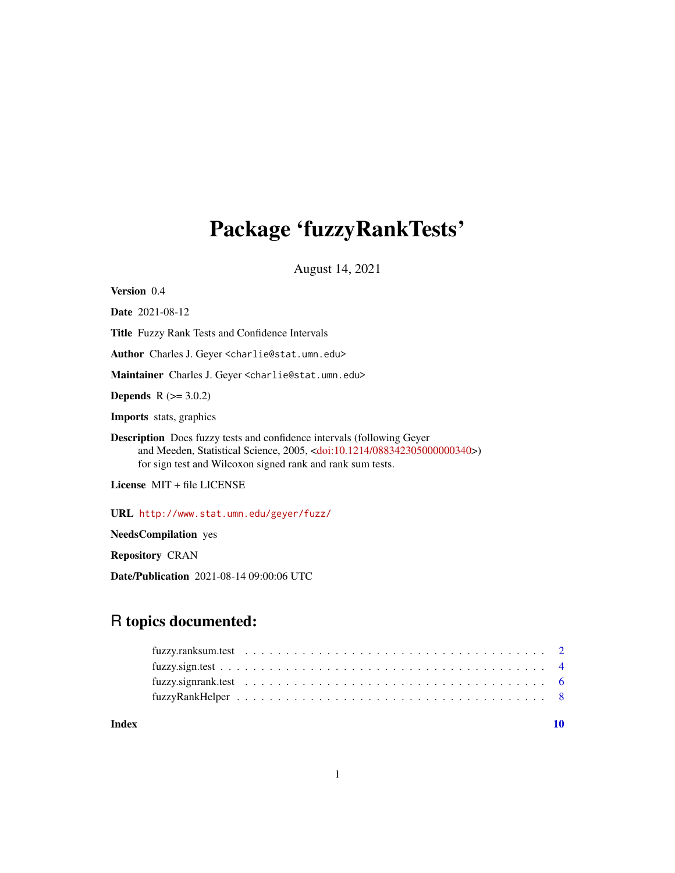## <span id="page-0-0"></span>Package 'fuzzyRankTests'

August 14, 2021

| <b>Version</b> 0.4     |  |
|------------------------|--|
| <b>Date</b> 2021-08-12 |  |

Title Fuzzy Rank Tests and Confidence Intervals

Author Charles J. Geyer <charlie@stat.umn.edu>

Maintainer Charles J. Geyer <charlie@stat.umn.edu>

**Depends**  $R (= 3.0.2)$ 

Imports stats, graphics

Description Does fuzzy tests and confidence intervals (following Geyer and Meeden, Statistical Science, 2005, [<doi:10.1214/088342305000000340>](https://doi.org/10.1214/088342305000000340)) for sign test and Wilcoxon signed rank and rank sum tests.

License MIT + file LICENSE

URL <http://www.stat.umn.edu/geyer/fuzz/>

NeedsCompilation yes

Repository CRAN

Date/Publication 2021-08-14 09:00:06 UTC

## R topics documented:

 $\blacksquare$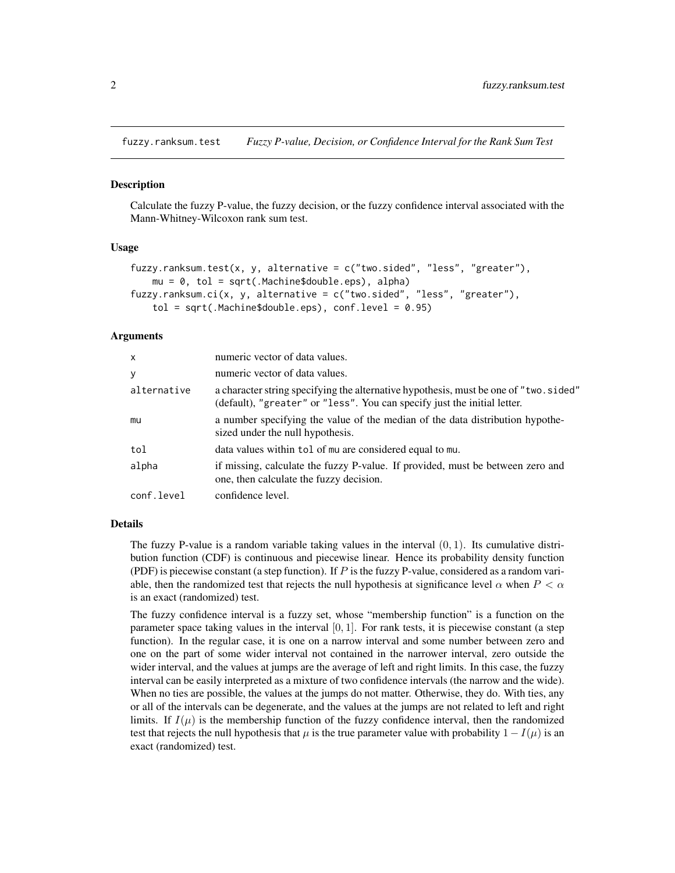<span id="page-1-0"></span>fuzzy.ranksum.test *Fuzzy P-value, Decision, or Confidence Interval for the Rank Sum Test*

#### **Description**

Calculate the fuzzy P-value, the fuzzy decision, or the fuzzy confidence interval associated with the Mann-Whitney-Wilcoxon rank sum test.

#### Usage

```
fuzzy.ranksum.test(x, y, alternative = c("two-sided", "less", "greater"),mu = 0, tol = sqrt(.Machine$double.eps), alpha)
fuzzy.ranksum.ci(x, y, alternative = c("two.sided", "less", "greater"),tol = sqrt(.Machine$double.eps), conf. level = 0.95)
```
#### Arguments

| $\mathsf{x}$ | numeric vector of data values.                                                                                                                                    |
|--------------|-------------------------------------------------------------------------------------------------------------------------------------------------------------------|
| y            | numeric vector of data values.                                                                                                                                    |
| alternative  | a character string specifying the alternative hypothesis, must be one of "two. sided"<br>(default), "greater" or "less". You can specify just the initial letter. |
| mu           | a number specifying the value of the median of the data distribution hypothe-<br>sized under the null hypothesis.                                                 |
| tol          | data values within tol of mu are considered equal to mu.                                                                                                          |
| alpha        | if missing, calculate the fuzzy P-value. If provided, must be between zero and<br>one, then calculate the fuzzy decision.                                         |
| conf.level   | confidence level.                                                                                                                                                 |

#### Details

The fuzzy P-value is a random variable taking values in the interval  $(0, 1)$ . Its cumulative distribution function (CDF) is continuous and piecewise linear. Hence its probability density function (PDF) is piecewise constant (a step function). If  $P$  is the fuzzy P-value, considered as a random variable, then the randomized test that rejects the null hypothesis at significance level  $\alpha$  when  $P < \alpha$ is an exact (randomized) test.

The fuzzy confidence interval is a fuzzy set, whose "membership function" is a function on the parameter space taking values in the interval  $[0, 1]$ . For rank tests, it is piecewise constant (a step function). In the regular case, it is one on a narrow interval and some number between zero and one on the part of some wider interval not contained in the narrower interval, zero outside the wider interval, and the values at jumps are the average of left and right limits. In this case, the fuzzy interval can be easily interpreted as a mixture of two confidence intervals (the narrow and the wide). When no ties are possible, the values at the jumps do not matter. Otherwise, they do. With ties, any or all of the intervals can be degenerate, and the values at the jumps are not related to left and right limits. If  $I(\mu)$  is the membership function of the fuzzy confidence interval, then the randomized test that rejects the null hypothesis that  $\mu$  is the true parameter value with probability  $1 - I(\mu)$  is an exact (randomized) test.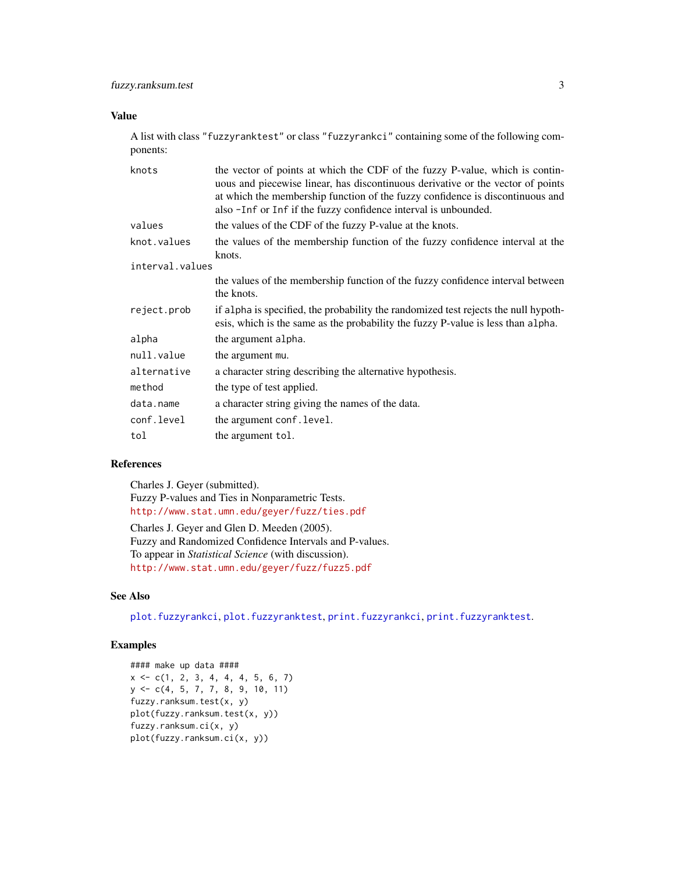## <span id="page-2-0"></span>Value

A list with class "fuzzyranktest" or class "fuzzyrankci" containing some of the following components:

| knots           | the vector of points at which the CDF of the fuzzy P-value, which is contin-<br>uous and piecewise linear, has discontinuous derivative or the vector of points<br>at which the membership function of the fuzzy confidence is discontinuous and<br>also -Inf or Inf if the fuzzy confidence interval is unbounded. |
|-----------------|---------------------------------------------------------------------------------------------------------------------------------------------------------------------------------------------------------------------------------------------------------------------------------------------------------------------|
| values          | the values of the CDF of the fuzzy P-value at the knots.                                                                                                                                                                                                                                                            |
| knot.values     | the values of the membership function of the fuzzy confidence interval at the<br>knots.                                                                                                                                                                                                                             |
| interval.values |                                                                                                                                                                                                                                                                                                                     |
|                 | the values of the membership function of the fuzzy confidence interval between<br>the knots.                                                                                                                                                                                                                        |
| reject.prob     | if alpha is specified, the probability the randomized test rejects the null hypoth-<br>esis, which is the same as the probability the fuzzy P-value is less than alpha.                                                                                                                                             |
| alpha           | the argument alpha.                                                                                                                                                                                                                                                                                                 |
| null.value      | the argument mu.                                                                                                                                                                                                                                                                                                    |
| alternative     | a character string describing the alternative hypothesis.                                                                                                                                                                                                                                                           |
| method          | the type of test applied.                                                                                                                                                                                                                                                                                           |
| data.name       | a character string giving the names of the data.                                                                                                                                                                                                                                                                    |
| conf.level      | the argument conf. level.                                                                                                                                                                                                                                                                                           |
| tol             | the argument tol.                                                                                                                                                                                                                                                                                                   |

## References

Charles J. Geyer (submitted). Fuzzy P-values and Ties in Nonparametric Tests. <http://www.stat.umn.edu/geyer/fuzz/ties.pdf> Charles J. Geyer and Glen D. Meeden (2005). Fuzzy and Randomized Confidence Intervals and P-values. To appear in *Statistical Science* (with discussion). <http://www.stat.umn.edu/geyer/fuzz/fuzz5.pdf>

### See Also

[plot.fuzzyrankci](#page-7-1), [plot.fuzzyranktest](#page-7-1), [print.fuzzyrankci](#page-7-1), [print.fuzzyranktest](#page-7-1).

## Examples

```
#### make up data ####
x \leq c(1, 2, 3, 4, 4, 4, 5, 6, 7)y <- c(4, 5, 7, 7, 8, 9, 10, 11)
fuzzy.ranksum.test(x, y)
plot(fuzzy.ranksum.test(x, y))
fuzzy.ranksum.ci(x, y)
plot(fuzzy.ranksum.ci(x, y))
```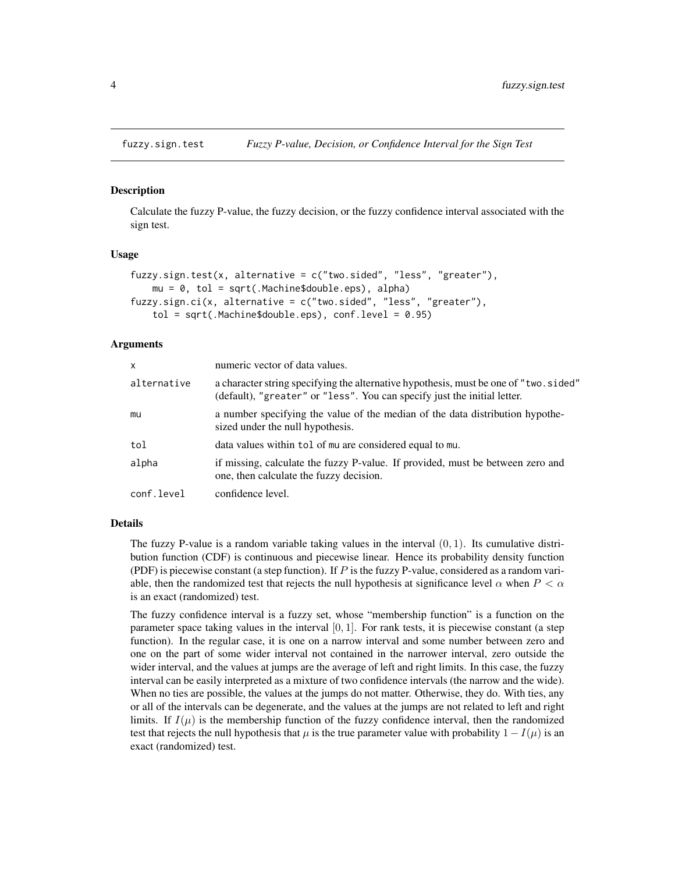<span id="page-3-2"></span><span id="page-3-0"></span>

#### <span id="page-3-1"></span>Description

Calculate the fuzzy P-value, the fuzzy decision, or the fuzzy confidence interval associated with the sign test.

#### Usage

```
fuzzy.sign.test(x, alternative = c("two.sided", "less", "greater"),
   mu = 0, tol = sqrt(.Machine$double.eps), alpha)
fuzzy.sign.ci(x, alternative = c("two.sided", "less", "greater"),
    tol = sqrt(.Machine$double.eps), conf.level = 0.95)
```
#### Arguments

| $\mathsf{x}$ | numeric vector of data values.                                                                                                                                    |
|--------------|-------------------------------------------------------------------------------------------------------------------------------------------------------------------|
| alternative  | a character string specifying the alternative hypothesis, must be one of "two. sided"<br>(default), "greater" or "less". You can specify just the initial letter. |
| mu           | a number specifying the value of the median of the data distribution hypothe-<br>sized under the null hypothesis.                                                 |
| tol          | data values within tol of mu are considered equal to mu.                                                                                                          |
| alpha        | if missing, calculate the fuzzy P-value. If provided, must be between zero and<br>one, then calculate the fuzzy decision.                                         |
| conf.level   | confidence level.                                                                                                                                                 |

#### Details

The fuzzy P-value is a random variable taking values in the interval  $(0, 1)$ . Its cumulative distribution function (CDF) is continuous and piecewise linear. Hence its probability density function (PDF) is piecewise constant (a step function). If  $P$  is the fuzzy P-value, considered as a random variable, then the randomized test that rejects the null hypothesis at significance level  $\alpha$  when  $P < \alpha$ is an exact (randomized) test.

The fuzzy confidence interval is a fuzzy set, whose "membership function" is a function on the parameter space taking values in the interval  $[0, 1]$ . For rank tests, it is piecewise constant (a step function). In the regular case, it is one on a narrow interval and some number between zero and one on the part of some wider interval not contained in the narrower interval, zero outside the wider interval, and the values at jumps are the average of left and right limits. In this case, the fuzzy interval can be easily interpreted as a mixture of two confidence intervals (the narrow and the wide). When no ties are possible, the values at the jumps do not matter. Otherwise, they do. With ties, any or all of the intervals can be degenerate, and the values at the jumps are not related to left and right limits. If  $I(\mu)$  is the membership function of the fuzzy confidence interval, then the randomized test that rejects the null hypothesis that  $\mu$  is the true parameter value with probability  $1 - I(\mu)$  is an exact (randomized) test.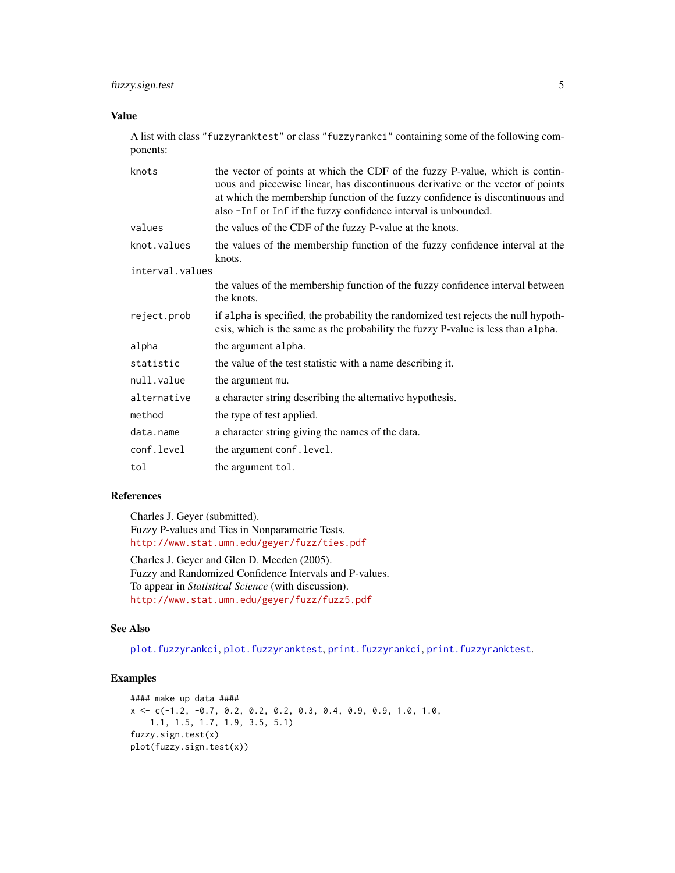## <span id="page-4-0"></span>Value

A list with class "fuzzyranktest" or class "fuzzyrankci" containing some of the following components:

| knots           | the vector of points at which the CDF of the fuzzy P-value, which is contin-<br>uous and piecewise linear, has discontinuous derivative or the vector of points<br>at which the membership function of the fuzzy confidence is discontinuous and<br>also -Inf or Inf if the fuzzy confidence interval is unbounded. |
|-----------------|---------------------------------------------------------------------------------------------------------------------------------------------------------------------------------------------------------------------------------------------------------------------------------------------------------------------|
| values          | the values of the CDF of the fuzzy P-value at the knots.                                                                                                                                                                                                                                                            |
| knot.values     | the values of the membership function of the fuzzy confidence interval at the<br>knots.                                                                                                                                                                                                                             |
| interval.values |                                                                                                                                                                                                                                                                                                                     |
|                 | the values of the membership function of the fuzzy confidence interval between<br>the knots.                                                                                                                                                                                                                        |
| reject.prob     | if alpha is specified, the probability the randomized test rejects the null hypoth-<br>esis, which is the same as the probability the fuzzy P-value is less than alpha.                                                                                                                                             |
| alpha           | the argument alpha.                                                                                                                                                                                                                                                                                                 |
| statistic       | the value of the test statistic with a name describing it.                                                                                                                                                                                                                                                          |
| null.value      | the argument mu.                                                                                                                                                                                                                                                                                                    |
| alternative     | a character string describing the alternative hypothesis.                                                                                                                                                                                                                                                           |
| method          | the type of test applied.                                                                                                                                                                                                                                                                                           |
| data.name       | a character string giving the names of the data.                                                                                                                                                                                                                                                                    |
| conf.level      | the argument conf. level.                                                                                                                                                                                                                                                                                           |
| tol             | the argument tol.                                                                                                                                                                                                                                                                                                   |

## References

Charles J. Geyer (submitted). Fuzzy P-values and Ties in Nonparametric Tests. <http://www.stat.umn.edu/geyer/fuzz/ties.pdf>

Charles J. Geyer and Glen D. Meeden (2005). Fuzzy and Randomized Confidence Intervals and P-values. To appear in *Statistical Science* (with discussion). <http://www.stat.umn.edu/geyer/fuzz/fuzz5.pdf>

#### See Also

[plot.fuzzyrankci](#page-7-1), [plot.fuzzyranktest](#page-7-1), [print.fuzzyrankci](#page-7-1), [print.fuzzyranktest](#page-7-1).

## Examples

```
#### make up data ####
x \leq -c(-1.2, -0.7, 0.2, 0.2, 0.2, 0.3, 0.4, 0.9, 0.9, 1.0, 1.0,1.1, 1.5, 1.7, 1.9, 3.5, 5.1)
fuzzy.sign.test(x)
plot(fuzzy.sign.test(x))
```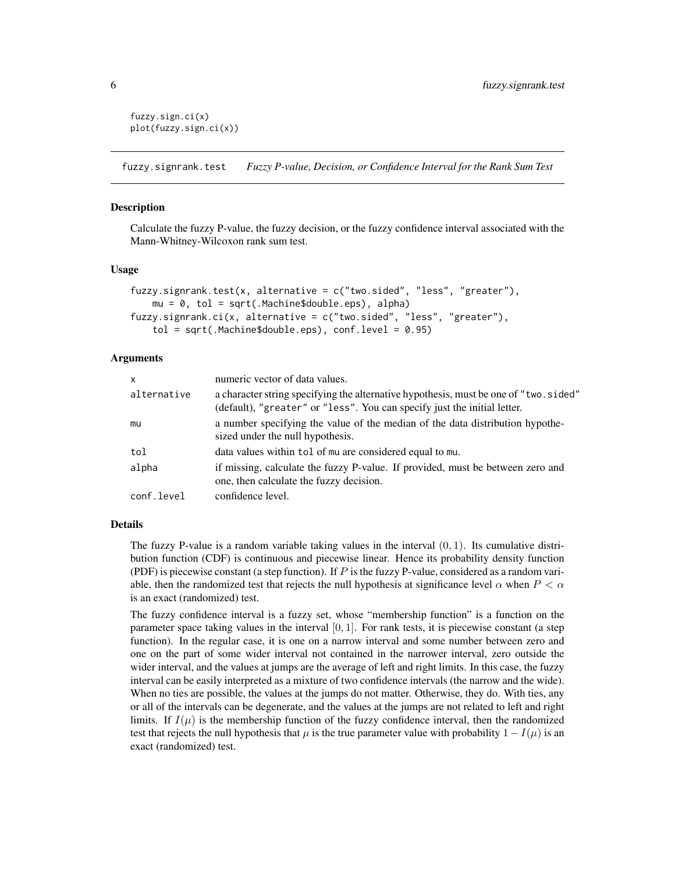```
fuzzy.sign.ci(x)
plot(fuzzy.sign.ci(x))
```
fuzzy.signrank.test *Fuzzy P-value, Decision, or Confidence Interval for the Rank Sum Test*

#### **Description**

Calculate the fuzzy P-value, the fuzzy decision, or the fuzzy confidence interval associated with the Mann-Whitney-Wilcoxon rank sum test.

#### Usage

```
fuzzy.signrank.test(x, alternative = c("two.sided", "less", "greater"),
   mu = 0, tol = sqrt(.Machine$double.eps), alpha)
fuzzy.signrank.ci(x, alternative = c("two.sided", "less", "greater"),
   tol = sqrt(.Machine$double.eps), conf. level = 0.95)
```
## Arguments

| $\mathsf{x}$ | numeric vector of data values.                                                                                                                                   |
|--------------|------------------------------------------------------------------------------------------------------------------------------------------------------------------|
| alternative  | a character string specifying the alternative hypothesis, must be one of "two.sided"<br>(default), "greater" or "less". You can specify just the initial letter. |
| mu           | a number specifying the value of the median of the data distribution hypothe-<br>sized under the null hypothesis.                                                |
| tol          | data values within tol of mu are considered equal to mu.                                                                                                         |
| alpha        | if missing, calculate the fuzzy P-value. If provided, must be between zero and<br>one, then calculate the fuzzy decision.                                        |
| conf.level   | confidence level.                                                                                                                                                |

#### Details

The fuzzy P-value is a random variable taking values in the interval  $(0, 1)$ . Its cumulative distribution function (CDF) is continuous and piecewise linear. Hence its probability density function (PDF) is piecewise constant (a step function). If  $P$  is the fuzzy P-value, considered as a random variable, then the randomized test that rejects the null hypothesis at significance level  $\alpha$  when  $P < \alpha$ is an exact (randomized) test.

The fuzzy confidence interval is a fuzzy set, whose "membership function" is a function on the parameter space taking values in the interval  $[0, 1]$ . For rank tests, it is piecewise constant (a step function). In the regular case, it is one on a narrow interval and some number between zero and one on the part of some wider interval not contained in the narrower interval, zero outside the wider interval, and the values at jumps are the average of left and right limits. In this case, the fuzzy interval can be easily interpreted as a mixture of two confidence intervals (the narrow and the wide). When no ties are possible, the values at the jumps do not matter. Otherwise, they do. With ties, any or all of the intervals can be degenerate, and the values at the jumps are not related to left and right limits. If  $I(\mu)$  is the membership function of the fuzzy confidence interval, then the randomized test that rejects the null hypothesis that  $\mu$  is the true parameter value with probability  $1 - I(\mu)$  is an exact (randomized) test.

<span id="page-5-0"></span>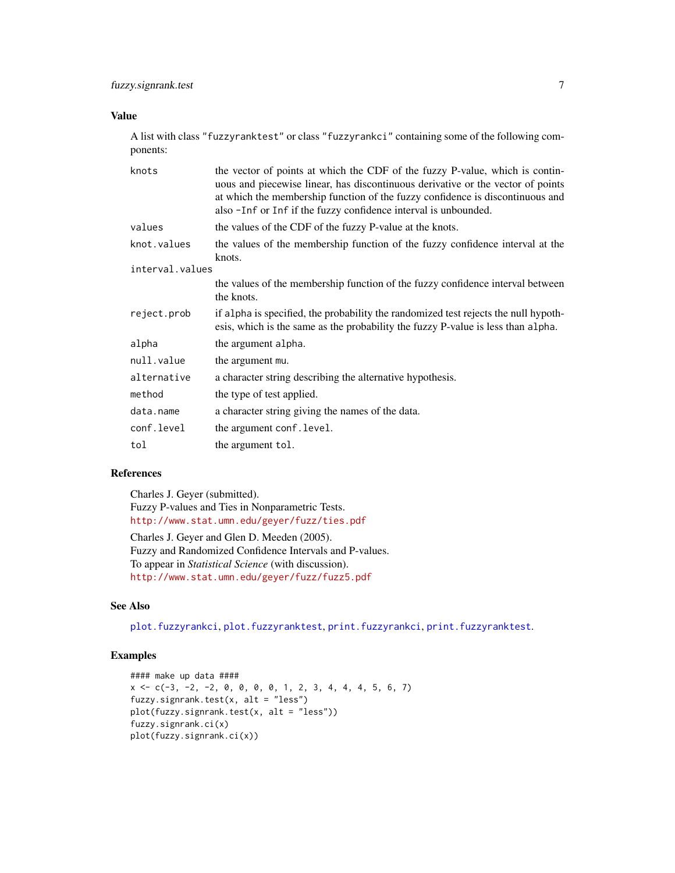## <span id="page-6-0"></span>Value

A list with class "fuzzyranktest" or class "fuzzyrankci" containing some of the following components:

| knots           | the vector of points at which the CDF of the fuzzy P-value, which is contin-<br>uous and piecewise linear, has discontinuous derivative or the vector of points<br>at which the membership function of the fuzzy confidence is discontinuous and<br>also -Inf or Inf if the fuzzy confidence interval is unbounded. |
|-----------------|---------------------------------------------------------------------------------------------------------------------------------------------------------------------------------------------------------------------------------------------------------------------------------------------------------------------|
| values          | the values of the CDF of the fuzzy P-value at the knots.                                                                                                                                                                                                                                                            |
| knot.values     | the values of the membership function of the fuzzy confidence interval at the<br>knots.                                                                                                                                                                                                                             |
| interval.values |                                                                                                                                                                                                                                                                                                                     |
|                 | the values of the membership function of the fuzzy confidence interval between<br>the knots.                                                                                                                                                                                                                        |
| reject.prob     | if alpha is specified, the probability the randomized test rejects the null hypoth-<br>esis, which is the same as the probability the fuzzy P-value is less than alpha.                                                                                                                                             |
| alpha           | the argument alpha.                                                                                                                                                                                                                                                                                                 |
| null.value      | the argument mu.                                                                                                                                                                                                                                                                                                    |
| alternative     | a character string describing the alternative hypothesis.                                                                                                                                                                                                                                                           |
| method          | the type of test applied.                                                                                                                                                                                                                                                                                           |
| data.name       | a character string giving the names of the data.                                                                                                                                                                                                                                                                    |
| conf.level      | the argument conf. level.                                                                                                                                                                                                                                                                                           |
| tol             | the argument tol.                                                                                                                                                                                                                                                                                                   |

## References

Charles J. Geyer (submitted). Fuzzy P-values and Ties in Nonparametric Tests. <http://www.stat.umn.edu/geyer/fuzz/ties.pdf>

Charles J. Geyer and Glen D. Meeden (2005). Fuzzy and Randomized Confidence Intervals and P-values. To appear in *Statistical Science* (with discussion). <http://www.stat.umn.edu/geyer/fuzz/fuzz5.pdf>

## See Also

[plot.fuzzyrankci](#page-7-1), [plot.fuzzyranktest](#page-7-1), [print.fuzzyrankci](#page-7-1), [print.fuzzyranktest](#page-7-1).

## Examples

```
#### make up data ####
x <- c(-3, -2, -2, 0, 0, 0, 0, 1, 2, 3, 4, 4, 4, 5, 6, 7)
fuzzy.signrank.test(x, alt = "less")
plot(fuzzy.signrank.test(x, alt = "less"))
fuzzy.signrank.ci(x)
plot(fuzzy.signrank.ci(x))
```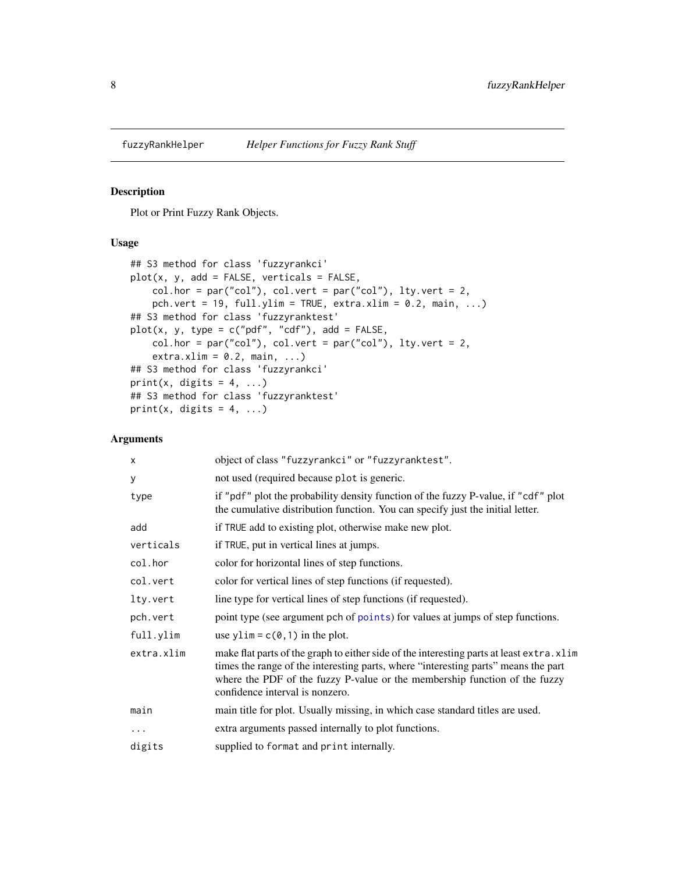<span id="page-7-0"></span>

#### <span id="page-7-1"></span>Description

Plot or Print Fuzzy Rank Objects.

## Usage

```
## S3 method for class 'fuzzyrankci'
plot(x, y, add = FALSE, verticals = FALSE,
    col.hor = par("col"), col.vert = par("col"), lty.vert = 2,pch.vert = 19, full.ylim = TRUE, extra.xlim = 0.2, main, ...)
## S3 method for class 'fuzzyranktest'
plot(x, y, type = c("pdf", "cdf"), add = FALSE,col.hor = par("col"), col.vert = par("col"), lty.vert = 2,extra.xlim = 0.2, main, ...## S3 method for class 'fuzzyrankci'
print(x, digits = 4, ...)
## S3 method for class 'fuzzyranktest'
print(x, digits = 4, ...)
```
## Arguments

| X          | object of class "fuzzyrankci" or "fuzzyranktest".                                                                                                                                                                                                                                                |
|------------|--------------------------------------------------------------------------------------------------------------------------------------------------------------------------------------------------------------------------------------------------------------------------------------------------|
| У          | not used (required because plot is generic.                                                                                                                                                                                                                                                      |
| type       | if "pdf" plot the probability density function of the fuzzy P-value, if "cdf" plot<br>the cumulative distribution function. You can specify just the initial letter.                                                                                                                             |
| add        | if TRUE add to existing plot, otherwise make new plot.                                                                                                                                                                                                                                           |
| verticals  | if TRUE, put in vertical lines at jumps.                                                                                                                                                                                                                                                         |
| col.hor    | color for horizontal lines of step functions.                                                                                                                                                                                                                                                    |
| col.vert   | color for vertical lines of step functions (if requested).                                                                                                                                                                                                                                       |
| lty.vert   | line type for vertical lines of step functions (if requested).                                                                                                                                                                                                                                   |
| pch.vert   | point type (see argument pch of points) for values at jumps of step functions.                                                                                                                                                                                                                   |
| full.ylim  | use ylim = $c(0, 1)$ in the plot.                                                                                                                                                                                                                                                                |
| extra.xlim | make flat parts of the graph to either side of the interesting parts at least extra. xlim<br>times the range of the interesting parts, where "interesting parts" means the part<br>where the PDF of the fuzzy P-value or the membership function of the fuzzy<br>confidence interval is nonzero. |
| main       | main title for plot. Usually missing, in which case standard titles are used.                                                                                                                                                                                                                    |
| $\ddotsc$  | extra arguments passed internally to plot functions.                                                                                                                                                                                                                                             |
| digits     | supplied to format and print internally.                                                                                                                                                                                                                                                         |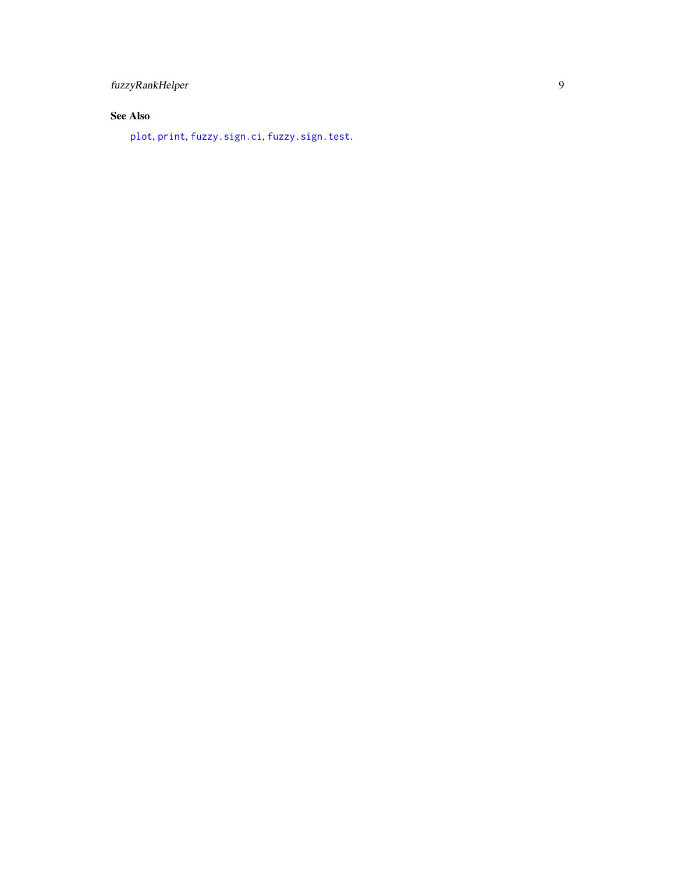## <span id="page-8-0"></span>See Also

[plot](#page-0-0), [print](#page-0-0), [fuzzy.sign.ci](#page-3-1), [fuzzy.sign.test](#page-3-2).